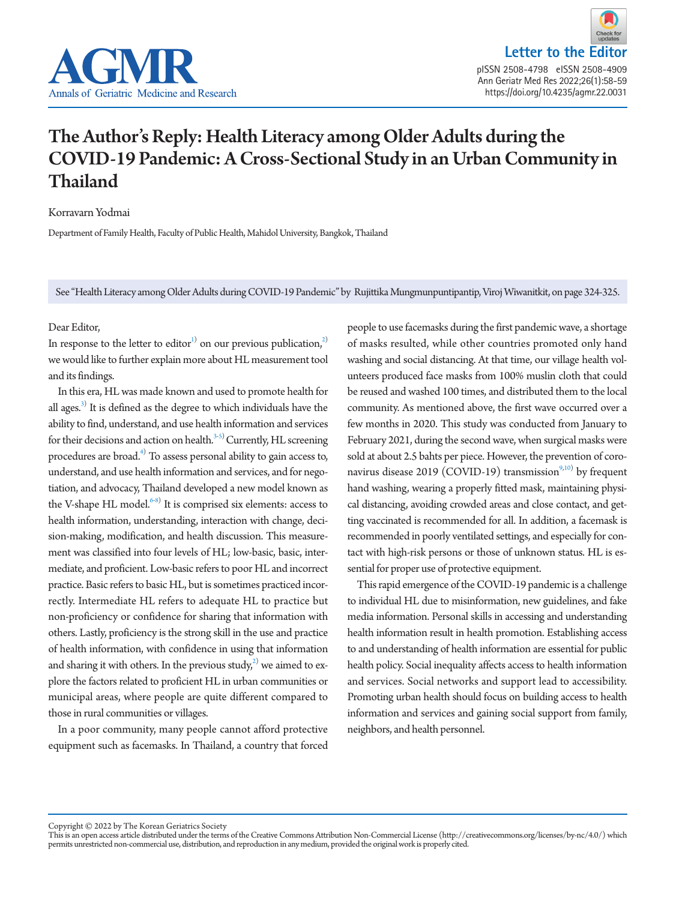



# The Author's Reply: Health Literacy among Older Adults during the COVID-19 Pandemic: A Cross-Sectional Study in an Urban Community in Thailand

Korravarn Yodmai

Department of Family Health, Faculty of Public Health, Mahidol University, Bangkok, Thailand

See "Health Literacy among Older Adults during COVID-19 Pandemic" by Rujittika Mungmunpuntipantip, Viroj Wiwanitkit, on page 324-325.

#### Dear Editor,

In response to the letter to editor<sup>1)</sup> on our previous publication,<sup>2)</sup> we would like to further explain more about HL measurement tool and its findings.

In this era, HL was made known and used to promote health for all ages. $^{3)}$  It is defined as the degree to which individuals have the ability to find, understand, and use health information and services for their decisions and action on health.<sup>3[-5\)](#page-1-3)</sup> Currently, HL screening procedures are broad. $^{4)}$  $^{4)}$  $^{4)}$  To assess personal ability to gain access to, understand, and use health information and services, and for negotiation, and advocacy, Thailand developed a new model known as the V-shape HL model.<sup>6[-8\)](#page-1-6)</sup> It is comprised six elements: access to health information, understanding, interaction with change, decision-making, modification, and health discussion. This measurement was classified into four levels of HL; low-basic, basic, intermediate, and proficient. Low-basic refers to poor HL and incorrect practice. Basic refers to basic HL, but is sometimes practiced incorrectly. Intermediate HL refers to adequate HL to practice but non-proficiency or confidence for sharing that information with others. Lastly, proficiency is the strong skill in the use and practice of health information, with confidence in using that information and sharing it with others. In the previous  ${\rm study}^{2)}$  ${\rm study}^{2)}$  ${\rm study}^{2)}$  we aimed to explore the factors related to proficient HL in urban communities or municipal areas, where people are quite different compared to those in rural communities or villages.

In a poor community, many people cannot afford protective equipment such as facemasks. In Thailand, a country that forced people to use facemasks during the first pandemic wave, a shortage of masks resulted, while other countries promoted only hand washing and social distancing. At that time, our village health volunteers produced face masks from 100% muslin cloth that could be reused and washed 100 times, and distributed them to the local community. As mentioned above, the first wave occurred over a few months in 2020. This study was conducted from January to February 2021, during the second wave, when surgical masks were sold at about 2.5 bahts per piece. However, the prevention of coro-navirus disease 2019 (COVID-19) transmission<sup>9[,10\)](#page-1-8)</sup> by frequent hand washing, wearing a properly fitted mask, maintaining physical distancing, avoiding crowded areas and close contact, and getting vaccinated is recommended for all. In addition, a facemask is recommended in poorly ventilated settings, and especially for contact with high-risk persons or those of unknown status. HL is essential for proper use of protective equipment.

This rapid emergence of the COVID-19 pandemic is a challenge to individual HL due to misinformation, new guidelines, and fake media information. Personal skills in accessing and understanding health information result in health promotion. Establishing access to and understanding of health information are essential for public health policy. Social inequality affects access to health information and services. Social networks and support lead to accessibility. Promoting urban health should focus on building access to health information and services and gaining social support from family, neighbors, and health personnel.

Copyright © 2022 by The Korean Geriatrics Society<br>This is an open access article distributed under the terms of the Creative Commons Attribution Non-Commercial License (http://creativecommons.org/licenses/by-nc/4.0/) which permits unrestricted non-commercial use, distribution, and reproduction in any medium, provided the original work is properly cited.